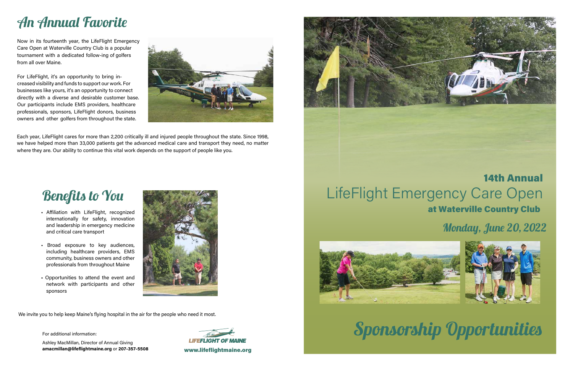

# Sponsorship Opportunities

Each year, LifeFlight cares for more than 2,200 critically ill and injured people throughout the state. Since 1998, we have helped more than 33,000 patients get the advanced medical care and transport they need, no matter where they are. Our ability to continue this vital work depends on the support of people like you.

## An Annual Favorite

Now in its fourteenth year, the LifeFlight Emergency Care Open at Waterville Country Club is a popular tournament with a dedicated follow-ing of golfers from all over Maine.

For LifeFlight, it's an opportunity to bring increased visibility and funds to support our work. For businesses like yours, it's an opportunity to connect directly with a diverse and desirable customer base. Our participants include EMS providers, healthcare professionals, sponsors, LifeFlight donors, business owners and other golfers from throughout the state.



# LifeFlight Emergency Care Open at Waterville Country Club



## Benefits to You

We invite you to help keep Maine's flying hospital in the air for the people who need it most.

For additional information:

Ashley MacMillan, Director of Annual Giving **amacmillan@lifeflightmaine.org** or **207-357-5508** www.lifeflightmaine.org



- Affiliation with LifeFlight, recognized internationally for safety, innovation and leadership in emergency medicine and critical care transport
- Broad exposure to key audiences, including healthcare providers, EMS community, business owners and other professionals from throughout Maine
- Opportunities to attend the event and network with participants and other sponsors



### Monday, June 20, 2022